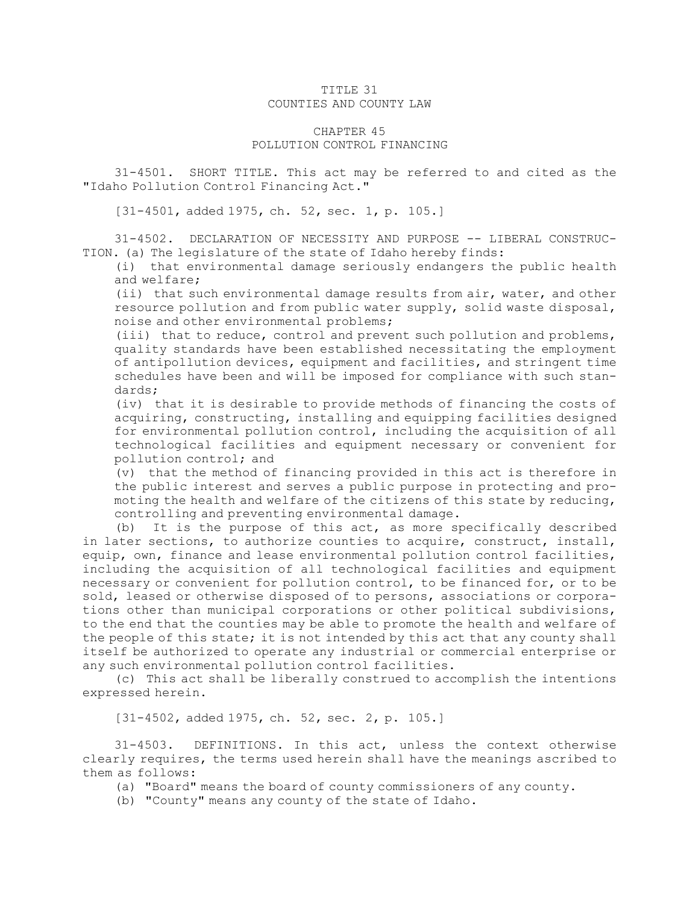## TITLE 31 COUNTIES AND COUNTY LAW

## CHAPTER 45 POLLUTION CONTROL FINANCING

31-4501. SHORT TITLE. This act may be referred to and cited as the "Idaho Pollution Control Financing Act."

[31-4501, added 1975, ch. 52, sec. 1, p. 105.]

31-4502. DECLARATION OF NECESSITY AND PURPOSE -- LIBERAL CONSTRUC-TION. (a) The legislature of the state of Idaho hereby finds:

(i) that environmental damage seriously endangers the public health and welfare;

(ii) that such environmental damage results from air, water, and other resource pollution and from public water supply, solid waste disposal, noise and other environmental problems;

(iii) that to reduce, control and prevent such pollution and problems, quality standards have been established necessitating the employment of antipollution devices, equipment and facilities, and stringent time schedules have been and will be imposed for compliance with such standards;

(iv) that it is desirable to provide methods of financing the costs of acquiring, constructing, installing and equipping facilities designed for environmental pollution control, including the acquisition of all technological facilities and equipment necessary or convenient for pollution control; and

(v) that the method of financing provided in this act is therefore in the public interest and serves <sup>a</sup> public purpose in protecting and promoting the health and welfare of the citizens of this state by reducing, controlling and preventing environmental damage.

(b) It is the purpose of this act, as more specifically described in later sections, to authorize counties to acquire, construct, install, equip, own, finance and lease environmental pollution control facilities, including the acquisition of all technological facilities and equipment necessary or convenient for pollution control, to be financed for, or to be sold, leased or otherwise disposed of to persons, associations or corporations other than municipal corporations or other political subdivisions, to the end that the counties may be able to promote the health and welfare of the people of this state; it is not intended by this act that any county shall itself be authorized to operate any industrial or commercial enterprise or any such environmental pollution control facilities.

(c) This act shall be liberally construed to accomplish the intentions expressed herein.

[31-4502, added 1975, ch. 52, sec. 2, p. 105.]

31-4503. DEFINITIONS. In this act, unless the context otherwise clearly requires, the terms used herein shall have the meanings ascribed to them as follows:

- (a) "Board" means the board of county commissioners of any county.
- (b) "County" means any county of the state of Idaho.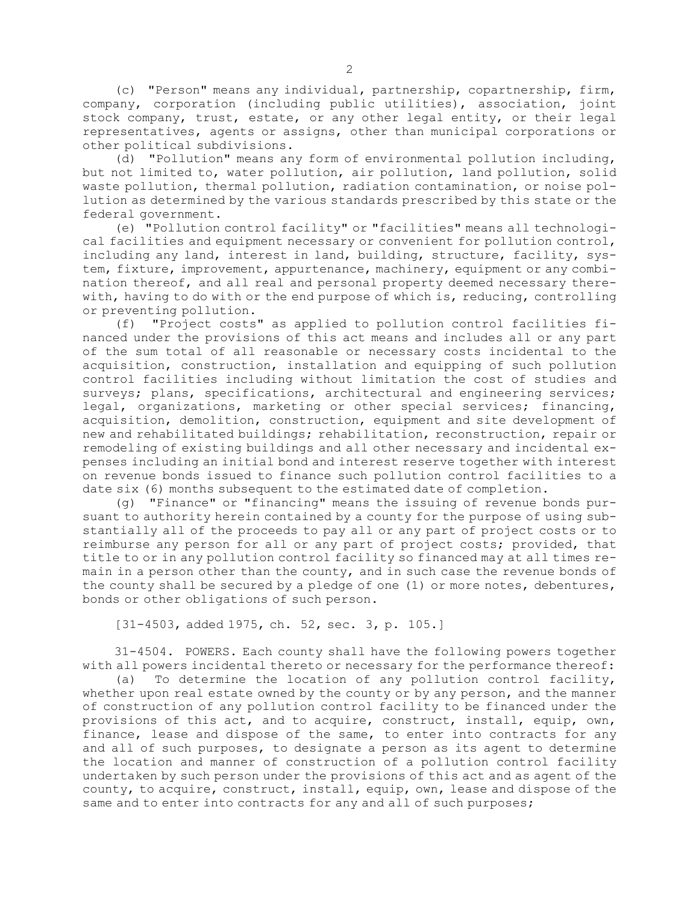(c) "Person" means any individual, partnership, copartnership, firm, company, corporation (including public utilities), association, joint stock company, trust, estate, or any other legal entity, or their legal representatives, agents or assigns, other than municipal corporations or other political subdivisions.

(d) "Pollution" means any form of environmental pollution including, but not limited to, water pollution, air pollution, land pollution, solid waste pollution, thermal pollution, radiation contamination, or noise pollution as determined by the various standards prescribed by this state or the federal government.

(e) "Pollution control facility" or "facilities" means all technological facilities and equipment necessary or convenient for pollution control, including any land, interest in land, building, structure, facility, system, fixture, improvement, appurtenance, machinery, equipment or any combination thereof, and all real and personal property deemed necessary therewith, having to do with or the end purpose of which is, reducing, controlling or preventing pollution.

(f) "Project costs" as applied to pollution control facilities financed under the provisions of this act means and includes all or any part of the sum total of all reasonable or necessary costs incidental to the acquisition, construction, installation and equipping of such pollution control facilities including without limitation the cost of studies and surveys; plans, specifications, architectural and engineering services; legal, organizations, marketing or other special services; financing, acquisition, demolition, construction, equipment and site development of new and rehabilitated buildings; rehabilitation, reconstruction, repair or remodeling of existing buildings and all other necessary and incidental expenses including an initial bond and interest reserve together with interest on revenue bonds issued to finance such pollution control facilities to <sup>a</sup> date six (6) months subsequent to the estimated date of completion.

(g) "Finance" or "financing" means the issuing of revenue bonds pursuant to authority herein contained by <sup>a</sup> county for the purpose of using substantially all of the proceeds to pay all or any part of project costs or to reimburse any person for all or any part of project costs; provided, that title to or in any pollution control facility so financed may at all times remain in <sup>a</sup> person other than the county, and in such case the revenue bonds of the county shall be secured by <sup>a</sup> pledge of one (1) or more notes, debentures, bonds or other obligations of such person.

[31-4503, added 1975, ch. 52, sec. 3, p. 105.]

31-4504. POWERS. Each county shall have the following powers together with all powers incidental thereto or necessary for the performance thereof:

(a) To determine the location of any pollution control facility, whether upon real estate owned by the county or by any person, and the manner of construction of any pollution control facility to be financed under the provisions of this act, and to acquire, construct, install, equip, own, finance, lease and dispose of the same, to enter into contracts for any and all of such purposes, to designate <sup>a</sup> person as its agent to determine the location and manner of construction of <sup>a</sup> pollution control facility undertaken by such person under the provisions of this act and as agent of the county, to acquire, construct, install, equip, own, lease and dispose of the same and to enter into contracts for any and all of such purposes;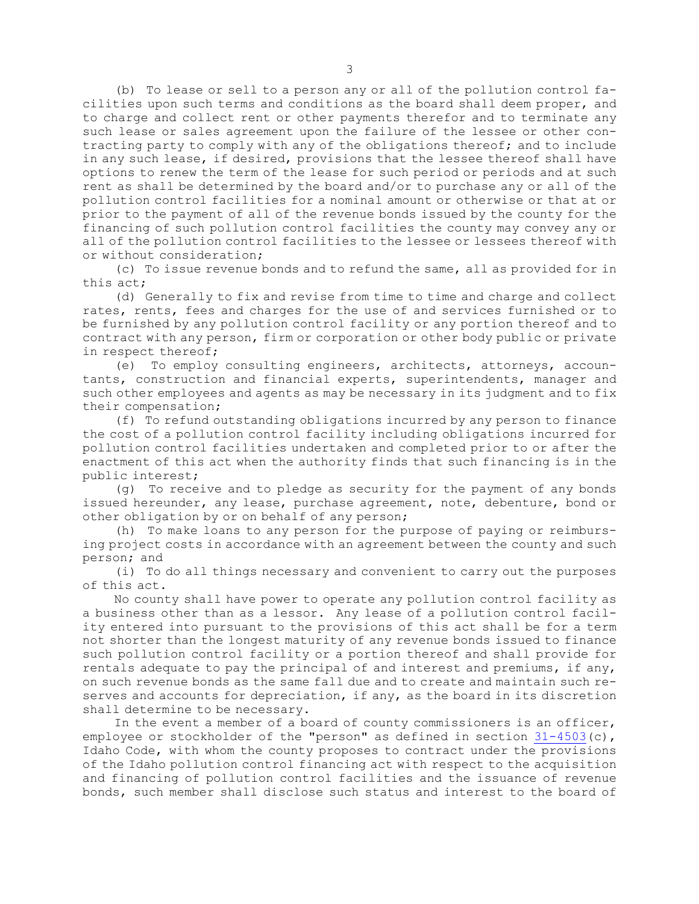(b) To lease or sell to <sup>a</sup> person any or all of the pollution control facilities upon such terms and conditions as the board shall deem proper, and to charge and collect rent or other payments therefor and to terminate any such lease or sales agreement upon the failure of the lessee or other contracting party to comply with any of the obligations thereof; and to include in any such lease, if desired, provisions that the lessee thereof shall have options to renew the term of the lease for such period or periods and at such rent as shall be determined by the board and/or to purchase any or all of the pollution control facilities for <sup>a</sup> nominal amount or otherwise or that at or prior to the payment of all of the revenue bonds issued by the county for the financing of such pollution control facilities the county may convey any or all of the pollution control facilities to the lessee or lessees thereof with or without consideration;

(c) To issue revenue bonds and to refund the same, all as provided for in this act;

(d) Generally to fix and revise from time to time and charge and collect rates, rents, fees and charges for the use of and services furnished or to be furnished by any pollution control facility or any portion thereof and to contract with any person, firm or corporation or other body public or private in respect thereof;

(e) To employ consulting engineers, architects, attorneys, accountants, construction and financial experts, superintendents, manager and such other employees and agents as may be necessary in its judgment and to fix their compensation;

(f) To refund outstanding obligations incurred by any person to finance the cost of <sup>a</sup> pollution control facility including obligations incurred for pollution control facilities undertaken and completed prior to or after the enactment of this act when the authority finds that such financing is in the public interest;

(g) To receive and to pledge as security for the payment of any bonds issued hereunder, any lease, purchase agreement, note, debenture, bond or other obligation by or on behalf of any person;

(h) To make loans to any person for the purpose of paying or reimbursing project costs in accordance with an agreement between the county and such person; and

(i) To do all things necessary and convenient to carry out the purposes of this act.

No county shall have power to operate any pollution control facility as <sup>a</sup> business other than as <sup>a</sup> lessor. Any lease of <sup>a</sup> pollution control facility entered into pursuant to the provisions of this act shall be for <sup>a</sup> term not shorter than the longest maturity of any revenue bonds issued to finance such pollution control facility or <sup>a</sup> portion thereof and shall provide for rentals adequate to pay the principal of and interest and premiums, if any, on such revenue bonds as the same fall due and to create and maintain such reserves and accounts for depreciation, if any, as the board in its discretion shall determine to be necessary.

In the event <sup>a</sup> member of <sup>a</sup> board of county commissioners is an officer, employee or stockholder of the "person" as defined in section [31-4503](https://legislature.idaho.gov/statutesrules/idstat/Title31/T31CH45/SECT31-4503)(c), Idaho Code, with whom the county proposes to contract under the provisions of the Idaho pollution control financing act with respect to the acquisition and financing of pollution control facilities and the issuance of revenue bonds, such member shall disclose such status and interest to the board of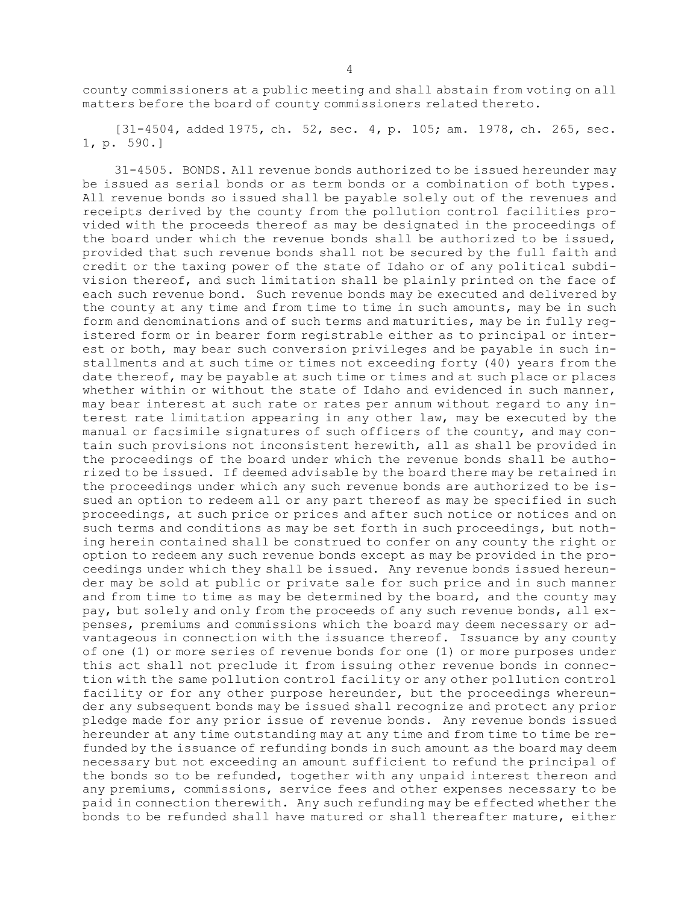county commissioners at <sup>a</sup> public meeting and shall abstain from voting on all matters before the board of county commissioners related thereto.

[31-4504, added 1975, ch. 52, sec. 4, p. 105; am. 1978, ch. 265, sec. 1, p. 590.]

31-4505. BONDS. All revenue bonds authorized to be issued hereunder may be issued as serial bonds or as term bonds or <sup>a</sup> combination of both types. All revenue bonds so issued shall be payable solely out of the revenues and receipts derived by the county from the pollution control facilities provided with the proceeds thereof as may be designated in the proceedings of the board under which the revenue bonds shall be authorized to be issued, provided that such revenue bonds shall not be secured by the full faith and credit or the taxing power of the state of Idaho or of any political subdivision thereof, and such limitation shall be plainly printed on the face of each such revenue bond. Such revenue bonds may be executed and delivered by the county at any time and from time to time in such amounts, may be in such form and denominations and of such terms and maturities, may be in fully registered form or in bearer form registrable either as to principal or interest or both, may bear such conversion privileges and be payable in such installments and at such time or times not exceeding forty (40) years from the date thereof, may be payable at such time or times and at such place or places whether within or without the state of Idaho and evidenced in such manner, may bear interest at such rate or rates per annum without regard to any interest rate limitation appearing in any other law, may be executed by the manual or facsimile signatures of such officers of the county, and may contain such provisions not inconsistent herewith, all as shall be provided in the proceedings of the board under which the revenue bonds shall be authorized to be issued. If deemed advisable by the board there may be retained in the proceedings under which any such revenue bonds are authorized to be issued an option to redeem all or any part thereof as may be specified in such proceedings, at such price or prices and after such notice or notices and on such terms and conditions as may be set forth in such proceedings, but nothing herein contained shall be construed to confer on any county the right or option to redeem any such revenue bonds except as may be provided in the proceedings under which they shall be issued. Any revenue bonds issued hereunder may be sold at public or private sale for such price and in such manner and from time to time as may be determined by the board, and the county may pay, but solely and only from the proceeds of any such revenue bonds, all expenses, premiums and commissions which the board may deem necessary or advantageous in connection with the issuance thereof. Issuance by any county of one (1) or more series of revenue bonds for one (1) or more purposes under this act shall not preclude it from issuing other revenue bonds in connection with the same pollution control facility or any other pollution control facility or for any other purpose hereunder, but the proceedings whereunder any subsequent bonds may be issued shall recognize and protect any prior pledge made for any prior issue of revenue bonds. Any revenue bonds issued hereunder at any time outstanding may at any time and from time to time be refunded by the issuance of refunding bonds in such amount as the board may deem necessary but not exceeding an amount sufficient to refund the principal of the bonds so to be refunded, together with any unpaid interest thereon and any premiums, commissions, service fees and other expenses necessary to be paid in connection therewith. Any such refunding may be effected whether the bonds to be refunded shall have matured or shall thereafter mature, either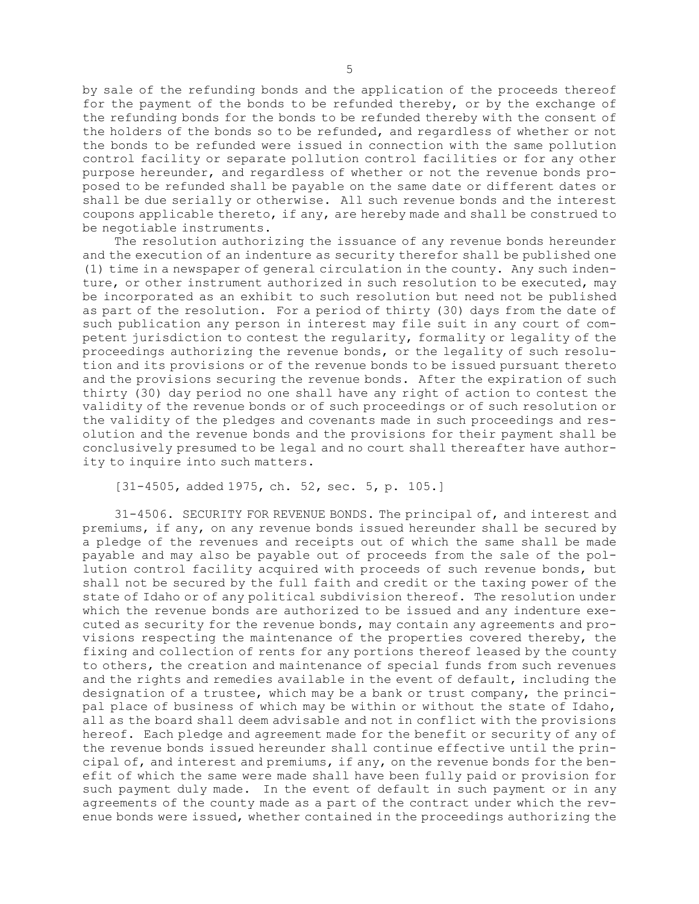by sale of the refunding bonds and the application of the proceeds thereof for the payment of the bonds to be refunded thereby, or by the exchange of the refunding bonds for the bonds to be refunded thereby with the consent of the holders of the bonds so to be refunded, and regardless of whether or not the bonds to be refunded were issued in connection with the same pollution control facility or separate pollution control facilities or for any other purpose hereunder, and regardless of whether or not the revenue bonds proposed to be refunded shall be payable on the same date or different dates or shall be due serially or otherwise. All such revenue bonds and the interest coupons applicable thereto, if any, are hereby made and shall be construed to be negotiable instruments.

The resolution authorizing the issuance of any revenue bonds hereunder and the execution of an indenture as security therefor shall be published one (1) time in <sup>a</sup> newspaper of general circulation in the county. Any such indenture, or other instrument authorized in such resolution to be executed, may be incorporated as an exhibit to such resolution but need not be published as part of the resolution. For <sup>a</sup> period of thirty (30) days from the date of such publication any person in interest may file suit in any court of competent jurisdiction to contest the regularity, formality or legality of the proceedings authorizing the revenue bonds, or the legality of such resolution and its provisions or of the revenue bonds to be issued pursuant thereto and the provisions securing the revenue bonds. After the expiration of such thirty (30) day period no one shall have any right of action to contest the validity of the revenue bonds or of such proceedings or of such resolution or the validity of the pledges and covenants made in such proceedings and resolution and the revenue bonds and the provisions for their payment shall be conclusively presumed to be legal and no court shall thereafter have authority to inquire into such matters.

[31-4505, added 1975, ch. 52, sec. 5, p. 105.]

31-4506. SECURITY FOR REVENUE BONDS. The principal of, and interest and premiums, if any, on any revenue bonds issued hereunder shall be secured by <sup>a</sup> pledge of the revenues and receipts out of which the same shall be made payable and may also be payable out of proceeds from the sale of the pollution control facility acquired with proceeds of such revenue bonds, but shall not be secured by the full faith and credit or the taxing power of the state of Idaho or of any political subdivision thereof. The resolution under which the revenue bonds are authorized to be issued and any indenture executed as security for the revenue bonds, may contain any agreements and provisions respecting the maintenance of the properties covered thereby, the fixing and collection of rents for any portions thereof leased by the county to others, the creation and maintenance of special funds from such revenues and the rights and remedies available in the event of default, including the designation of <sup>a</sup> trustee, which may be <sup>a</sup> bank or trust company, the principal place of business of which may be within or without the state of Idaho, all as the board shall deem advisable and not in conflict with the provisions hereof. Each pledge and agreement made for the benefit or security of any of the revenue bonds issued hereunder shall continue effective until the principal of, and interest and premiums, if any, on the revenue bonds for the benefit of which the same were made shall have been fully paid or provision for such payment duly made. In the event of default in such payment or in any agreements of the county made as <sup>a</sup> part of the contract under which the revenue bonds were issued, whether contained in the proceedings authorizing the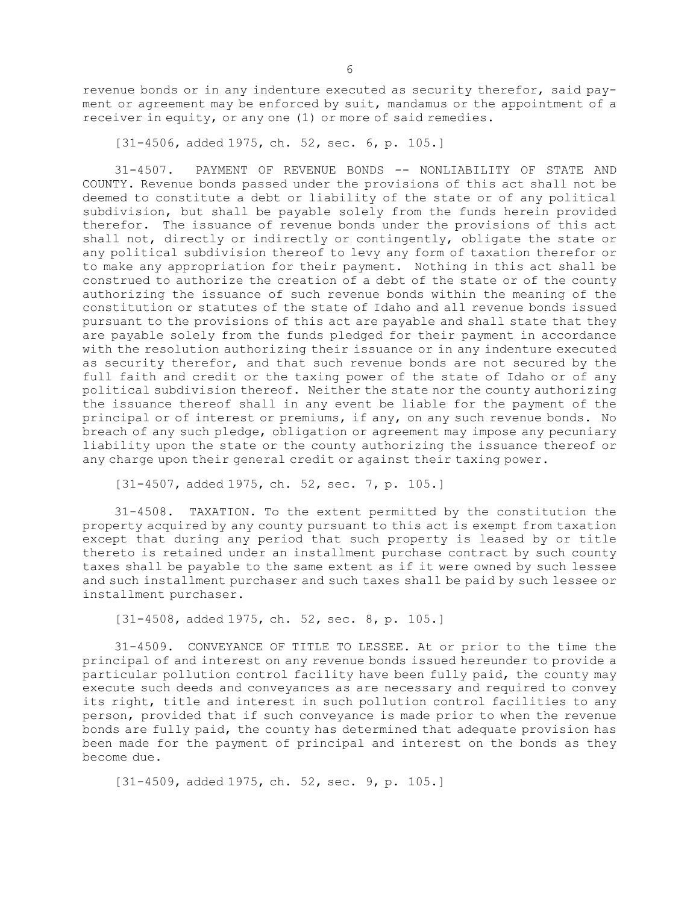revenue bonds or in any indenture executed as security therefor, said payment or agreement may be enforced by suit, mandamus or the appointment of <sup>a</sup> receiver in equity, or any one (1) or more of said remedies.

[31-4506, added 1975, ch. 52, sec. 6, p. 105.]

31-4507. PAYMENT OF REVENUE BONDS -- NONLIABILITY OF STATE AND COUNTY. Revenue bonds passed under the provisions of this act shall not be deemed to constitute <sup>a</sup> debt or liability of the state or of any political subdivision, but shall be payable solely from the funds herein provided therefor. The issuance of revenue bonds under the provisions of this act shall not, directly or indirectly or contingently, obligate the state or any political subdivision thereof to levy any form of taxation therefor or to make any appropriation for their payment. Nothing in this act shall be construed to authorize the creation of <sup>a</sup> debt of the state or of the county authorizing the issuance of such revenue bonds within the meaning of the constitution or statutes of the state of Idaho and all revenue bonds issued pursuant to the provisions of this act are payable and shall state that they are payable solely from the funds pledged for their payment in accordance with the resolution authorizing their issuance or in any indenture executed as security therefor, and that such revenue bonds are not secured by the full faith and credit or the taxing power of the state of Idaho or of any political subdivision thereof. Neither the state nor the county authorizing the issuance thereof shall in any event be liable for the payment of the principal or of interest or premiums, if any, on any such revenue bonds. No breach of any such pledge, obligation or agreement may impose any pecuniary liability upon the state or the county authorizing the issuance thereof or any charge upon their general credit or against their taxing power.

[31-4507, added 1975, ch. 52, sec. 7, p. 105.]

31-4508. TAXATION. To the extent permitted by the constitution the property acquired by any county pursuant to this act is exempt from taxation except that during any period that such property is leased by or title thereto is retained under an installment purchase contract by such county taxes shall be payable to the same extent as if it were owned by such lessee and such installment purchaser and such taxes shall be paid by such lessee or installment purchaser.

[31-4508, added 1975, ch. 52, sec. 8, p. 105.]

31-4509. CONVEYANCE OF TITLE TO LESSEE. At or prior to the time the principal of and interest on any revenue bonds issued hereunder to provide <sup>a</sup> particular pollution control facility have been fully paid, the county may execute such deeds and conveyances as are necessary and required to convey its right, title and interest in such pollution control facilities to any person, provided that if such conveyance is made prior to when the revenue bonds are fully paid, the county has determined that adequate provision has been made for the payment of principal and interest on the bonds as they become due.

[31-4509, added 1975, ch. 52, sec. 9, p. 105.]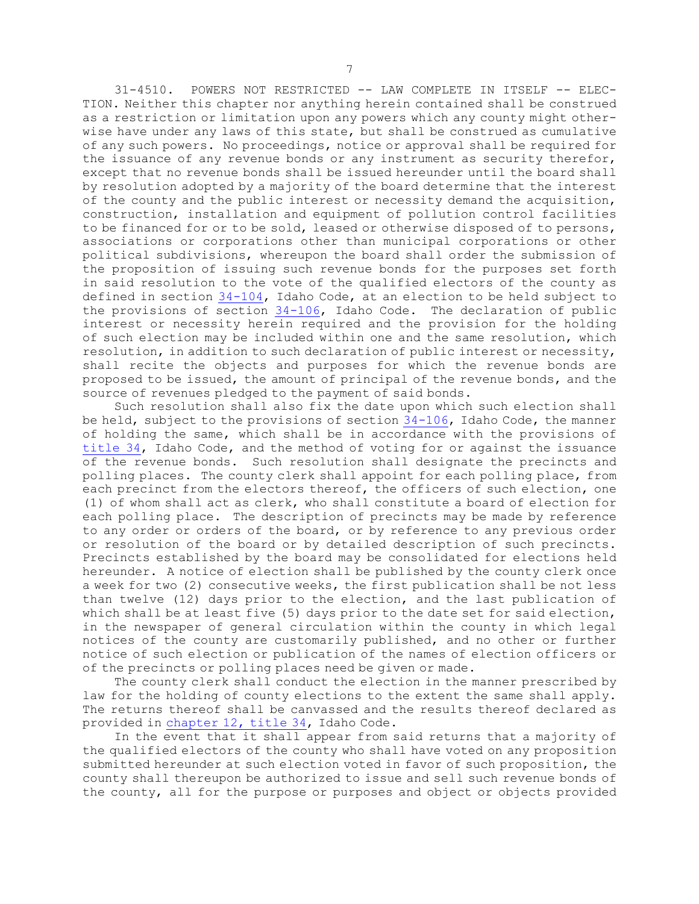31-4510. POWERS NOT RESTRICTED -- LAW COMPLETE IN ITSELF -- ELEC-TION. Neither this chapter nor anything herein contained shall be construed as <sup>a</sup> restriction or limitation upon any powers which any county might otherwise have under any laws of this state, but shall be construed as cumulative of any such powers. No proceedings, notice or approval shall be required for the issuance of any revenue bonds or any instrument as security therefor, except that no revenue bonds shall be issued hereunder until the board shall by resolution adopted by <sup>a</sup> majority of the board determine that the interest of the county and the public interest or necessity demand the acquisition, construction, installation and equipment of pollution control facilities to be financed for or to be sold, leased or otherwise disposed of to persons, associations or corporations other than municipal corporations or other political subdivisions, whereupon the board shall order the submission of the proposition of issuing such revenue bonds for the purposes set forth in said resolution to the vote of the qualified electors of the county as defined in section [34-104](https://legislature.idaho.gov/statutesrules/idstat/Title34/T34CH1/SECT34-104), Idaho Code, at an election to be held subject to the provisions of section [34-106](https://legislature.idaho.gov/statutesrules/idstat/Title34/T34CH1/SECT34-106), Idaho Code. The declaration of public interest or necessity herein required and the provision for the holding of such election may be included within one and the same resolution, which resolution, in addition to such declaration of public interest or necessity, shall recite the objects and purposes for which the revenue bonds are proposed to be issued, the amount of principal of the revenue bonds, and the source of revenues pledged to the payment of said bonds.

Such resolution shall also fix the date upon which such election shall be held, subject to the provisions of section [34-106](https://legislature.idaho.gov/statutesrules/idstat/Title34/T34CH1/SECT34-106), Idaho Code, the manner of holding the same, which shall be in accordance with the provisions of [title](https://legislature.idaho.gov/statutesrules/idstat/Title34/) 34, Idaho Code, and the method of voting for or against the issuance of the revenue bonds. Such resolution shall designate the precincts and polling places. The county clerk shall appoint for each polling place, from each precinct from the electors thereof, the officers of such election, one (1) of whom shall act as clerk, who shall constitute <sup>a</sup> board of election for each polling place. The description of precincts may be made by reference to any order or orders of the board, or by reference to any previous order or resolution of the board or by detailed description of such precincts. Precincts established by the board may be consolidated for elections held hereunder. <sup>A</sup> notice of election shall be published by the county clerk once <sup>a</sup> week for two (2) consecutive weeks, the first publication shall be not less than twelve (12) days prior to the election, and the last publication of which shall be at least five (5) days prior to the date set for said election, in the newspaper of general circulation within the county in which legal notices of the county are customarily published, and no other or further notice of such election or publication of the names of election officers or of the precincts or polling places need be given or made.

The county clerk shall conduct the election in the manner prescribed by law for the holding of county elections to the extent the same shall apply. The returns thereof shall be canvassed and the results thereof declared as provided in [chapter](https://legislature.idaho.gov/statutesrules/idstat/Title34/T34CH12) 12, title 34, Idaho Code.

In the event that it shall appear from said returns that <sup>a</sup> majority of the qualified electors of the county who shall have voted on any proposition submitted hereunder at such election voted in favor of such proposition, the county shall thereupon be authorized to issue and sell such revenue bonds of the county, all for the purpose or purposes and object or objects provided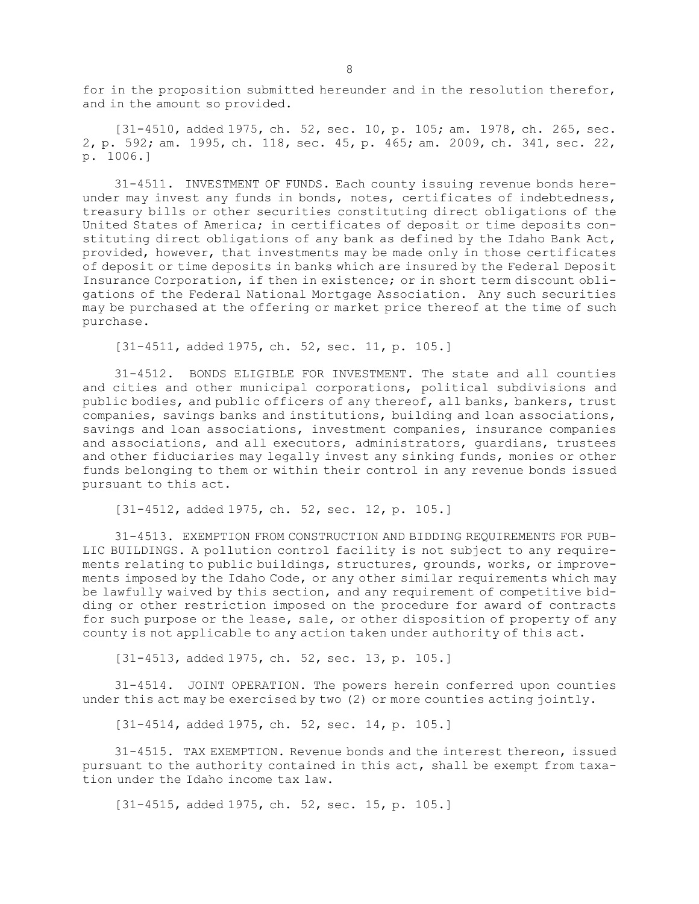for in the proposition submitted hereunder and in the resolution therefor, and in the amount so provided.

[31-4510, added 1975, ch. 52, sec. 10, p. 105; am. 1978, ch. 265, sec. 2, p. 592; am. 1995, ch. 118, sec. 45, p. 465; am. 2009, ch. 341, sec. 22, p. 1006.]

31-4511. INVESTMENT OF FUNDS. Each county issuing revenue bonds hereunder may invest any funds in bonds, notes, certificates of indebtedness, treasury bills or other securities constituting direct obligations of the United States of America; in certificates of deposit or time deposits constituting direct obligations of any bank as defined by the Idaho Bank Act, provided, however, that investments may be made only in those certificates of deposit or time deposits in banks which are insured by the Federal Deposit Insurance Corporation, if then in existence; or in short term discount obligations of the Federal National Mortgage Association. Any such securities may be purchased at the offering or market price thereof at the time of such purchase.

[31-4511, added 1975, ch. 52, sec. 11, p. 105.]

31-4512. BONDS ELIGIBLE FOR INVESTMENT. The state and all counties and cities and other municipal corporations, political subdivisions and public bodies, and public officers of any thereof, all banks, bankers, trust companies, savings banks and institutions, building and loan associations, savings and loan associations, investment companies, insurance companies and associations, and all executors, administrators, guardians, trustees and other fiduciaries may legally invest any sinking funds, monies or other funds belonging to them or within their control in any revenue bonds issued pursuant to this act.

[31-4512, added 1975, ch. 52, sec. 12, p. 105.]

31-4513. EXEMPTION FROM CONSTRUCTION AND BIDDING REQUIREMENTS FOR PUB-LIC BUILDINGS. <sup>A</sup> pollution control facility is not subject to any requirements relating to public buildings, structures, grounds, works, or improvements imposed by the Idaho Code, or any other similar requirements which may be lawfully waived by this section, and any requirement of competitive bidding or other restriction imposed on the procedure for award of contracts for such purpose or the lease, sale, or other disposition of property of any county is not applicable to any action taken under authority of this act.

[31-4513, added 1975, ch. 52, sec. 13, p. 105.]

31-4514. JOINT OPERATION. The powers herein conferred upon counties under this act may be exercised by two (2) or more counties acting jointly.

[31-4514, added 1975, ch. 52, sec. 14, p. 105.]

31-4515. TAX EXEMPTION. Revenue bonds and the interest thereon, issued pursuant to the authority contained in this act, shall be exempt from taxation under the Idaho income tax law.

[31-4515, added 1975, ch. 52, sec. 15, p. 105.]